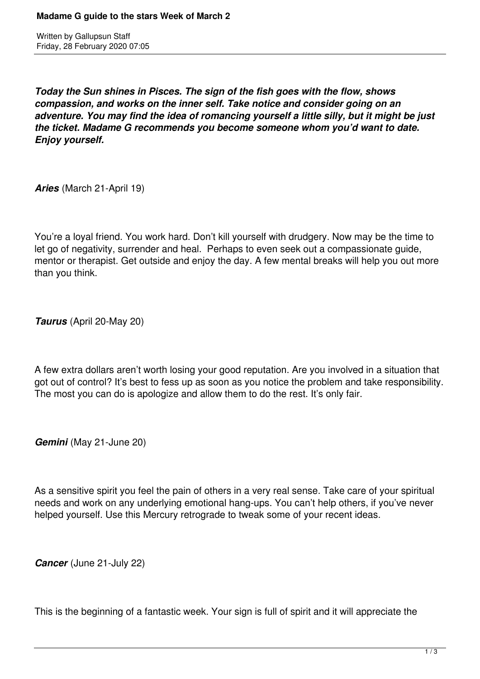Written by Gallupsun Staff Friday, 28 February 2020 07:05

*Today the Sun shines in Pisces. The sign of the fish goes with the flow, shows compassion, and works on the inner self. Take notice and consider going on an adventure. You may find the idea of romancing yourself a little silly, but it might be just the ticket. Madame G recommends you become someone whom you'd want to date. Enjoy yourself.* 

*Aries* (March 21-April 19)

You're a loyal friend. You work hard. Don't kill yourself with drudgery. Now may be the time to let go of negativity, surrender and heal. Perhaps to even seek out a compassionate guide, mentor or therapist. Get outside and enjoy the day. A few mental breaks will help you out more than you think.

*Taurus* (April 20-May 20)

A few extra dollars aren't worth losing your good reputation. Are you involved in a situation that got out of control? It's best to fess up as soon as you notice the problem and take responsibility. The most you can do is apologize and allow them to do the rest. It's only fair.

*Gemini* (May 21-June 20)

As a sensitive spirit you feel the pain of others in a very real sense. Take care of your spiritual needs and work on any underlying emotional hang-ups. You can't help others, if you've never helped yourself. Use this Mercury retrograde to tweak some of your recent ideas.

*Cancer* (June 21-July 22)

This is the beginning of a fantastic week. Your sign is full of spirit and it will appreciate the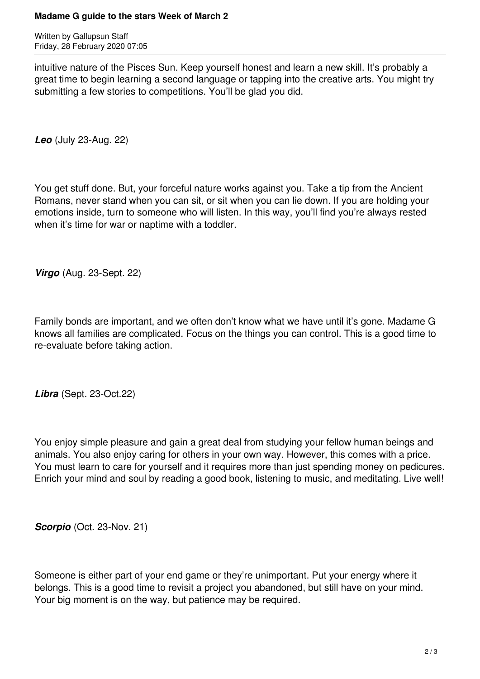## **Madame G guide to the stars Week of March 2**

Written by Gallupsun Staff Friday, 28 February 2020 07:05

intuitive nature of the Pisces Sun. Keep yourself honest and learn a new skill. It's probably a great time to begin learning a second language or tapping into the creative arts. You might try submitting a few stories to competitions. You'll be glad you did.

*Leo* (July 23-Aug. 22)

You get stuff done. But, your forceful nature works against you. Take a tip from the Ancient Romans, never stand when you can sit, or sit when you can lie down. If you are holding your emotions inside, turn to someone who will listen. In this way, you'll find you're always rested when it's time for war or naptime with a toddler.

*Virgo* (Aug. 23-Sept. 22)

Family bonds are important, and we often don't know what we have until it's gone. Madame G knows all families are complicated. Focus on the things you can control. This is a good time to re-evaluate before taking action.

*Libra* (Sept. 23-Oct.22)

You enjoy simple pleasure and gain a great deal from studying your fellow human beings and animals. You also enjoy caring for others in your own way. However, this comes with a price. You must learn to care for yourself and it requires more than just spending money on pedicures. Enrich your mind and soul by reading a good book, listening to music, and meditating. Live well!

*Scorpio* (Oct. 23-Nov. 21)

Someone is either part of your end game or they're unimportant. Put your energy where it belongs. This is a good time to revisit a project you abandoned, but still have on your mind. Your big moment is on the way, but patience may be required.